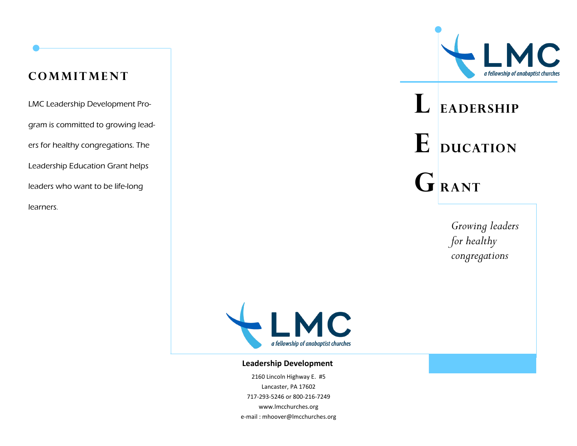# **cOMMITMENT**

LMC Leadership Development Program is committed to growing leaders for healthy congregations. The Leadership Education Grant helps leaders who want to be life-long learners.



# **L eadership**  $E$  **ducation**  $G$ **RANT**

*Growing leaders for healthy congregations*



#### **Leadership Development**

2160 Lincoln Highway E. #5 Lancaster, PA 17602 717-293-5246 or 800-216-7249 www.lmcchurches.org e-mail : mhoover@lmcchurches.org